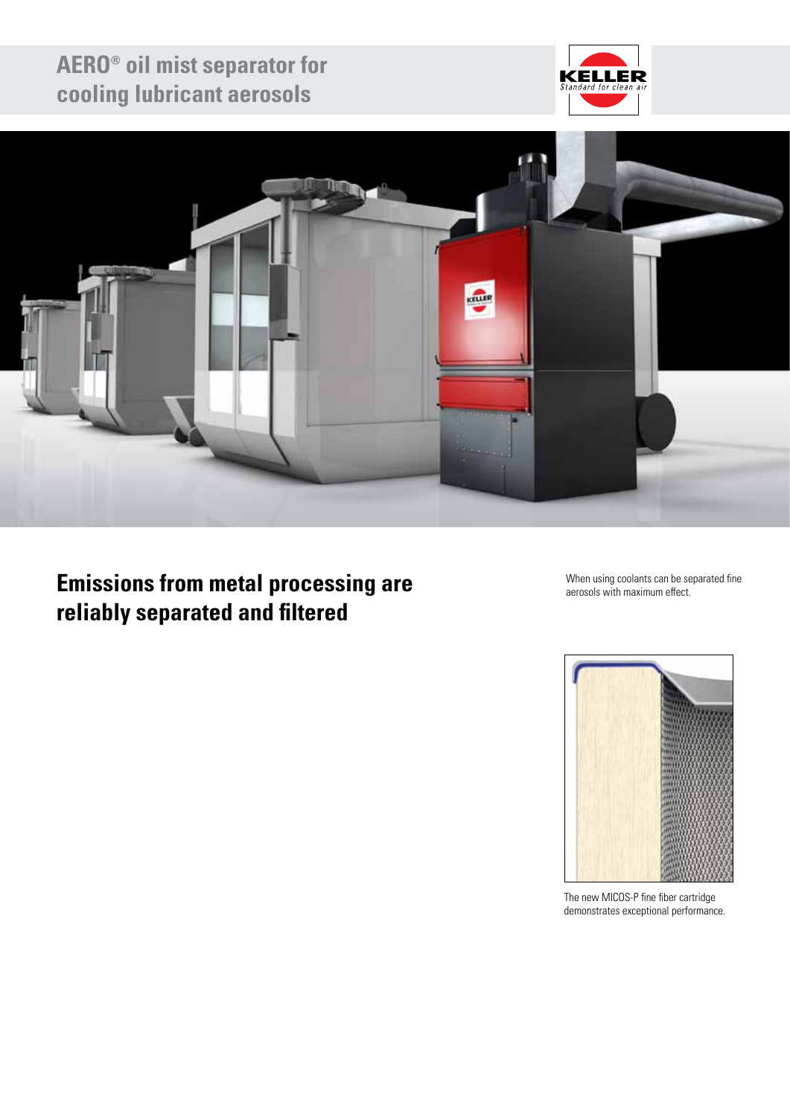# **AERO® oil mist separator for cooling lubricant aerosols**





# **Emissions from metal processing are reliably separated and filtered**

When using coolants can be separated fine aerosols with maximum effect.



The new MICOS-P fine fiber cartridge demonstrates exceptional performance.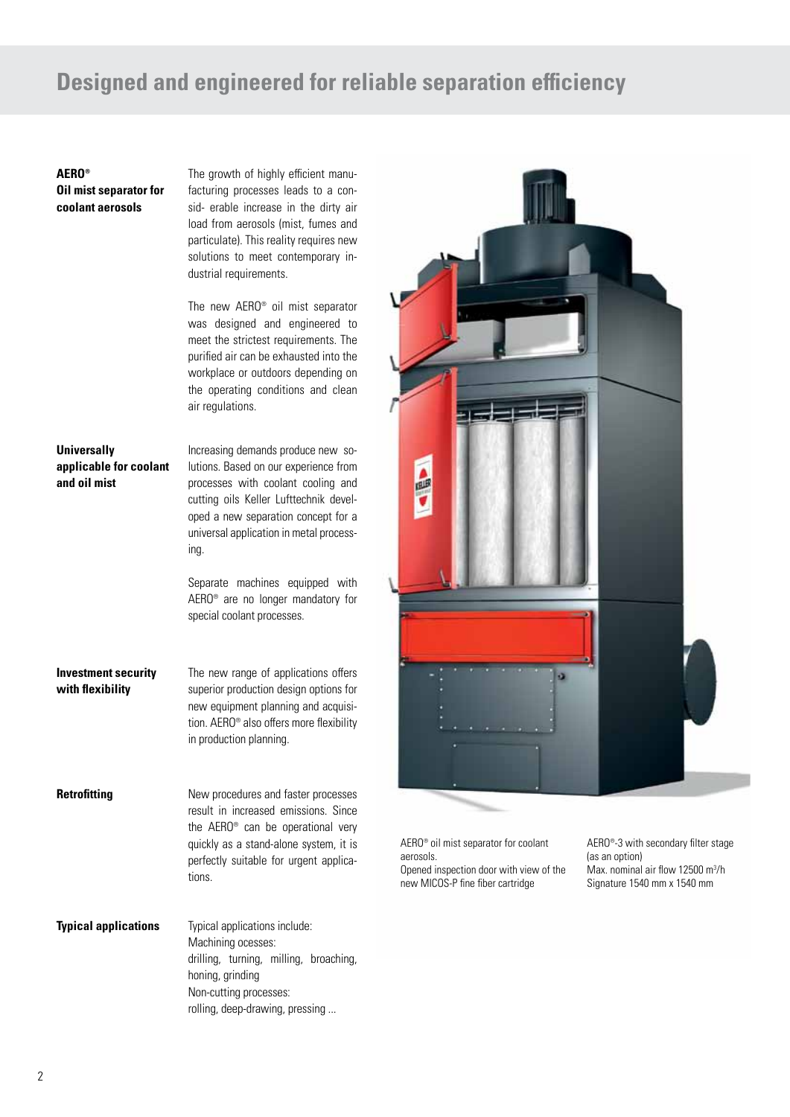## **Designed and engineered for reliable separation efficiency**

### **AERO® Oil mist separator for coolant aerosols**

The growth of highly efficient manufacturing processes leads to a consid- erable increase in the dirty air load from aerosols (mist, fumes and particulate). This reality requires new solutions to meet contemporary industrial requirements.

The new AERO® oil mist separator was designed and engineered to meet the strictest requirements. The purified air can be exhausted into the workplace or outdoors depending on the operating conditions and clean air regulations.

## **Universally applicable for coolant and oil mist**

Increasing demands produce new solutions. Based on our experience from processes with coolant cooling and cutting oils Keller Lufttechnik developed a new separation concept for a universal application in metal processing.

Separate machines equipped with AERO® are no longer mandatory for special coolant processes.

**Investment security with flexibility**

The new range of applications offers superior production design options for new equipment planning and acquisition. AERO® also offers more flexibility in production planning.

**Retrofitting**

New procedures and faster processes result in increased emissions. Since the AERO® can be operational very quickly as a stand-alone system, it is perfectly suitable for urgent applications.

Typical applications include: Machining ocesses: drilling, turning, milling, broaching, honing, grinding Non-cutting processes: rolling, deep-drawing, pressing ... **Typical applications**



AERO® oil mist separator for coolant aerosols. Opened inspection door with view of the new MICOS-P fine fiber cartridge

AERO®-3 with secondary filter stage (as an option) Max. nominal air flow 12500 m<sup>3</sup>/h Signature 1540 mm x 1540 mm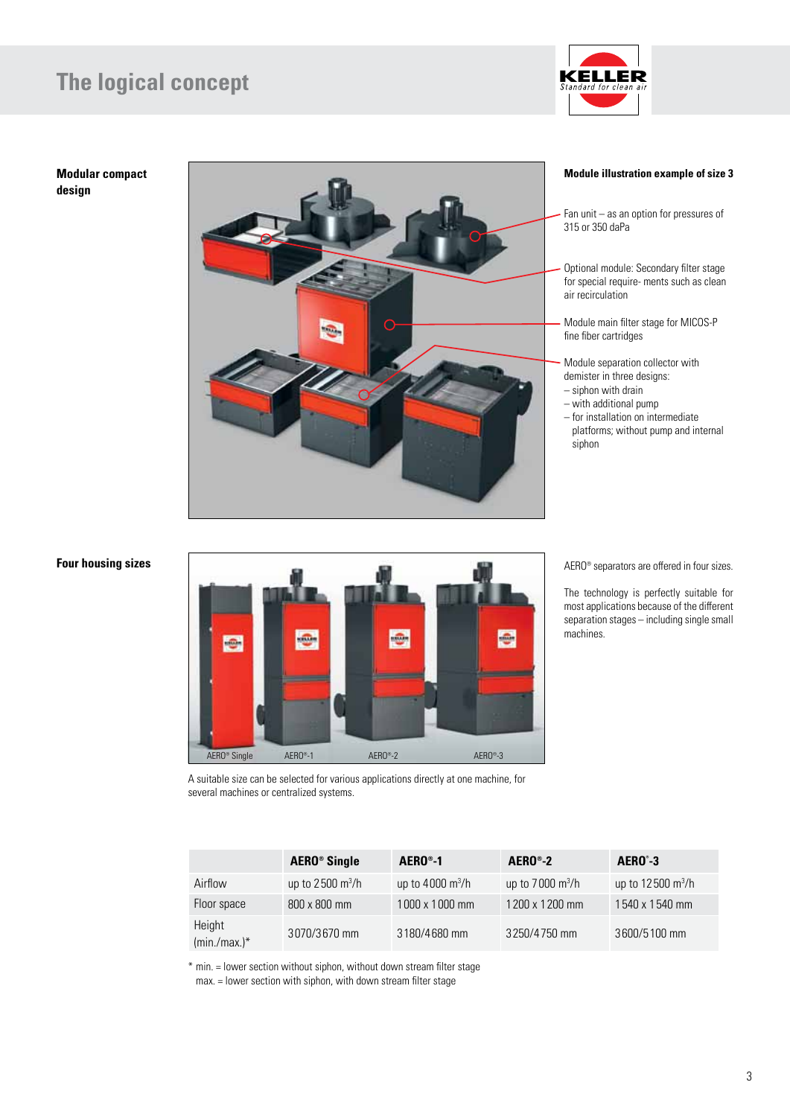# **The logical concept**



**Modular compact design**



#### **Module illustration example of size 3**

Fan unit – as an option for pressures of 315 or 350 daPa

Optional module: Secondary filter stage for special require- ments such as clean air recirculation

Module main filter stage for MICOS-P fine fiber cartridges

- Module separation collector with demister in three designs:
- siphon with drain
- with additional pump

– for installation on intermediate platforms; without pump and internal siphon

#### **Four housing sizes**



AERO® separators are offered in four sizes.

The technology is perfectly suitable for most applications because of the different separation stages – including single small machines.

A suitable size can be selected for various applications directly at one machine, for several machines or centralized systems.

|                           | <b>AERO®</b> Single        | $AEROo-1$                         | $AEROo - 2$                | AERO <sup>°</sup> -3        |
|---------------------------|----------------------------|-----------------------------------|----------------------------|-----------------------------|
| Airflow                   | up to $2500 \text{ m}^3/h$ | up to $4000 \text{ m}^3/\text{h}$ | up to $7000 \text{ m}^3/h$ | up to $12500 \text{ m}^3/h$ |
| Floor space               | $800 \times 800$ mm        | 1000 x 1000 mm                    | 1200 x 1200 mm             | 1540 x 1540 mm              |
| Height<br>$(min./max.)^*$ | 3070/3670 mm               | 3180/4680 mm                      | 3250/4750 mm               | 3600/5100 mm                |

\* min. = lower section without siphon, without down stream filter stage

max. = lower section with siphon, with down stream filter stage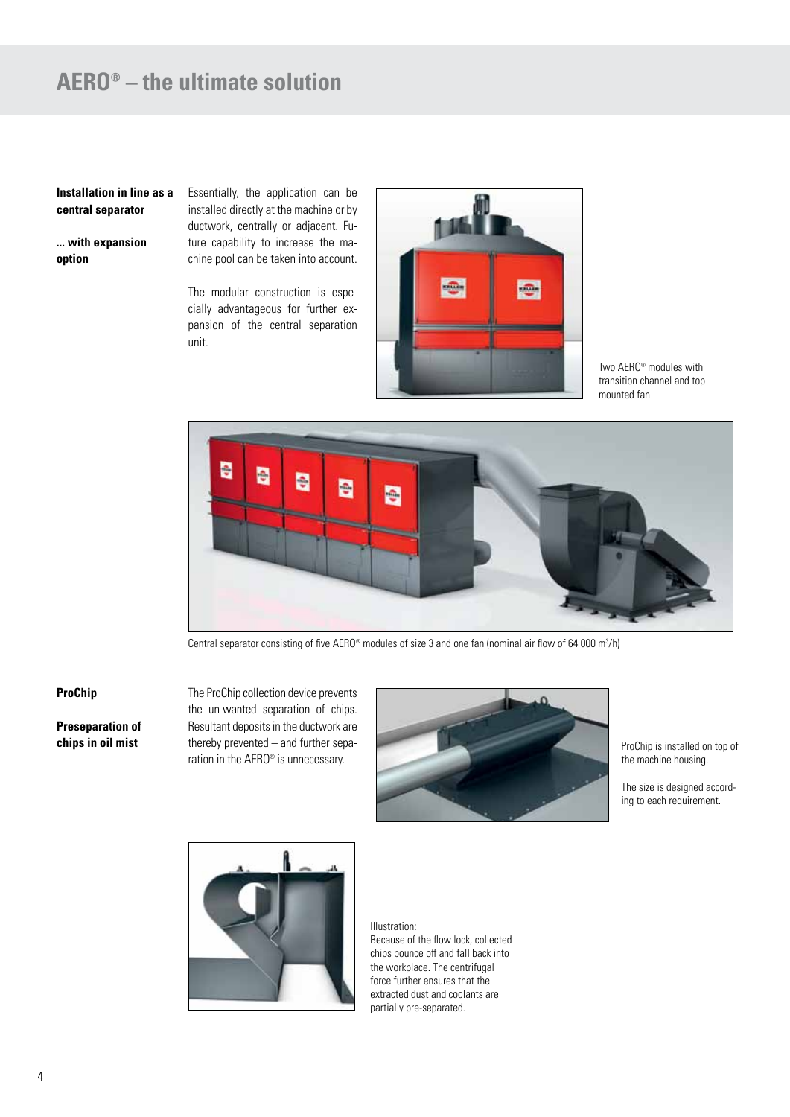# **AERO® – the ultimate solution**

### **Installation in line as a central separator**

**... with expansion option**

Essentially, the application can be installed directly at the machine or by ductwork, centrally or adjacent. Future capability to increase the machine pool can be taken into account.

The modular construction is especially advantageous for further expansion of the central separation unit.



Two AERO® modules with transition channel and top mounted fan



Central separator consisting of five AERO® modules of size 3 and one fan (nominal air flow of 64 000 m<sup>3</sup>/h)

#### **ProChip**

**Preseparation of chips in oil mist**

The ProChip collection device prevents the un-wanted separation of chips. Resultant deposits in the ductwork are thereby prevented – and further separation in the AERO® is unnecessary.



ProChip is installed on top of the machine housing.

The size is designed according to each requirement.



Illustration: Because of the flow lock, collected chips bounce off and fall back into the workplace. The centrifugal force further ensures that the extracted dust and coolants are partially pre-separated.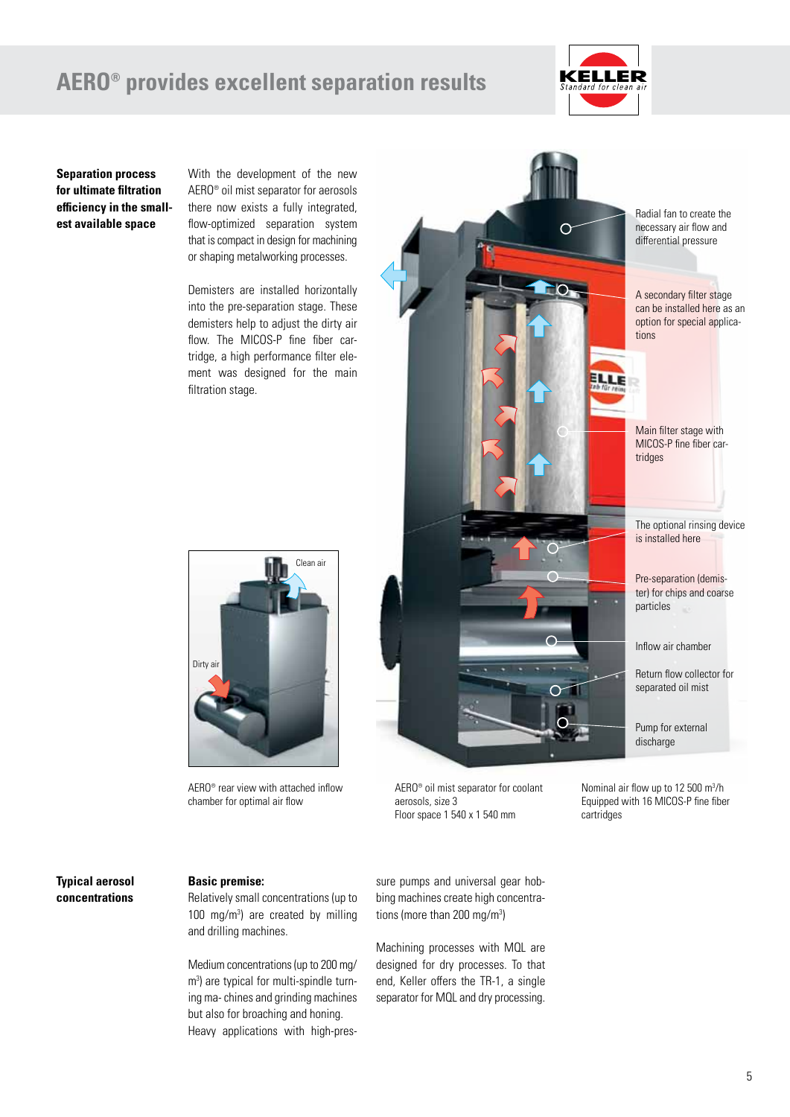## **AERO® provides excellent separation results**



**Separation process for ultimate filtration efficiency in the smallest available space**

With the development of the new AERO® oil mist separator for aerosols there now exists a fully integrated, flow-optimized separation system that is compact in design for machining or shaping metalworking processes.

Demisters are installed horizontally into the pre-separation stage. These demisters help to adjust the dirty air flow. The MICOS-P fine fiber cartridge, a high performance filter element was designed for the main filtration stage.



AERO® rear view with attached inflow chamber for optimal air flow



AERO® oil mist separator for coolant aerosols, size 3 Floor space 1 540 x 1 540 mm

Nominal air flow up to 12 500 m<sup>3</sup>/h Equipped with 16 MICOS-P fine fiber cartridges

### **Typical aerosol concentrations**

### **Basic premise:**

Relatively small concentrations (up to 100 mg/m<sup>3</sup> ) are created by milling and drilling machines.

Medium concentrations (up to 200 mg/ m 3 ) are typical for multi-spindle turning ma- chines and grinding machines but also for broaching and honing. Heavy applications with high-pressure pumps and universal gear hobbing machines create high concentrations (more than 200 mg/m<sup>3</sup>)

Machining processes with MQL are designed for dry processes. To that end, Keller offers the TR-1, a single separator for MQL and dry processing.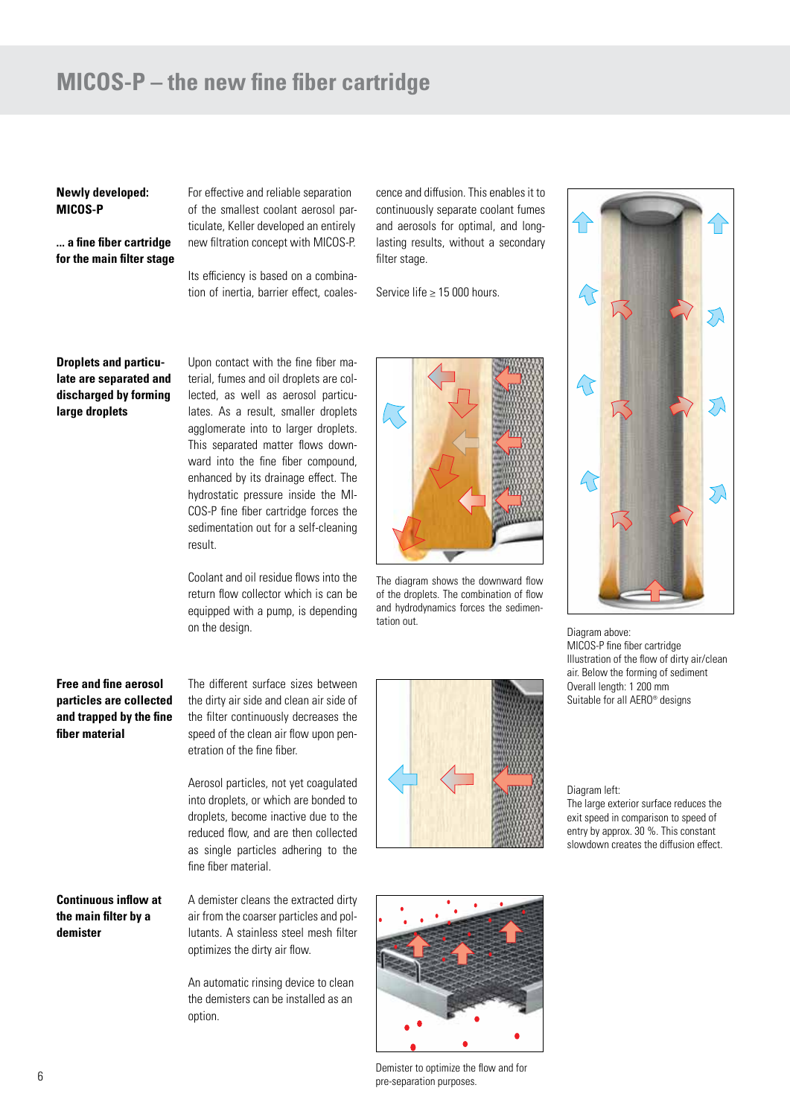## **MICOS-P – the new fine fiber cartridge**

#### **Newly developed: MICOS-P**

**... a fine fiber cartridge for the main filter stage** For effective and reliable separation of the smallest coolant aerosol particulate, Keller developed an entirely new filtration concept with MICOS-P.

Its efficiency is based on a combination of inertia, barrier effect, coales-

Upon contact with the fine fiber ma-

cence and diffusion. This enables it to continuously separate coolant fumes and aerosols for optimal, and longlasting results, without a secondary filter stage.

Service life ≥ 15 000 hours.

### **Droplets and particulate are separated and discharged by forming large droplets**

terial, fumes and oil droplets are collected, as well as aerosol particulates. As a result, smaller droplets agglomerate into to larger droplets. This separated matter flows downward into the fine fiber compound, enhanced by its drainage effect. The hydrostatic pressure inside the MI-COS-P fine fiber cartridge forces the sedimentation out for a self-cleaning result.

Coolant and oil residue flows into the return flow collector which is can be equipped with a pump, is depending on the design.



The diagram shows the downward flow of the droplets. The combination of flow and hydrodynamics forces the sedimentation out.



Diagram above: MICOS-P fine fiber cartridge Illustration of the flow of dirty air/clean air. Below the forming of sediment Overall length: 1 200 mm Suitable for all AERO® designs

Diagram left:

The large exterior surface reduces the exit speed in comparison to speed of entry by approx. 30 %. This constant slowdown creates the diffusion effect.

### **Free and fine aerosol particles are collected and trapped by the fine fiber material**

The different surface sizes between the dirty air side and clean air side of the filter continuously decreases the speed of the clean air flow upon penetration of the fine fiber.

Aerosol particles, not yet coagulated into droplets, or which are bonded to droplets, become inactive due to the reduced flow, and are then collected as single particles adhering to the fine fiber material.

**Continuous inflow at the main filter by a demister**

A demister cleans the extracted dirty air from the coarser particles and pollutants. A stainless steel mesh filter optimizes the dirty air flow.

An automatic rinsing device to clean the demisters can be installed as an option.





Demister to optimize the flow and for pre-separation purposes.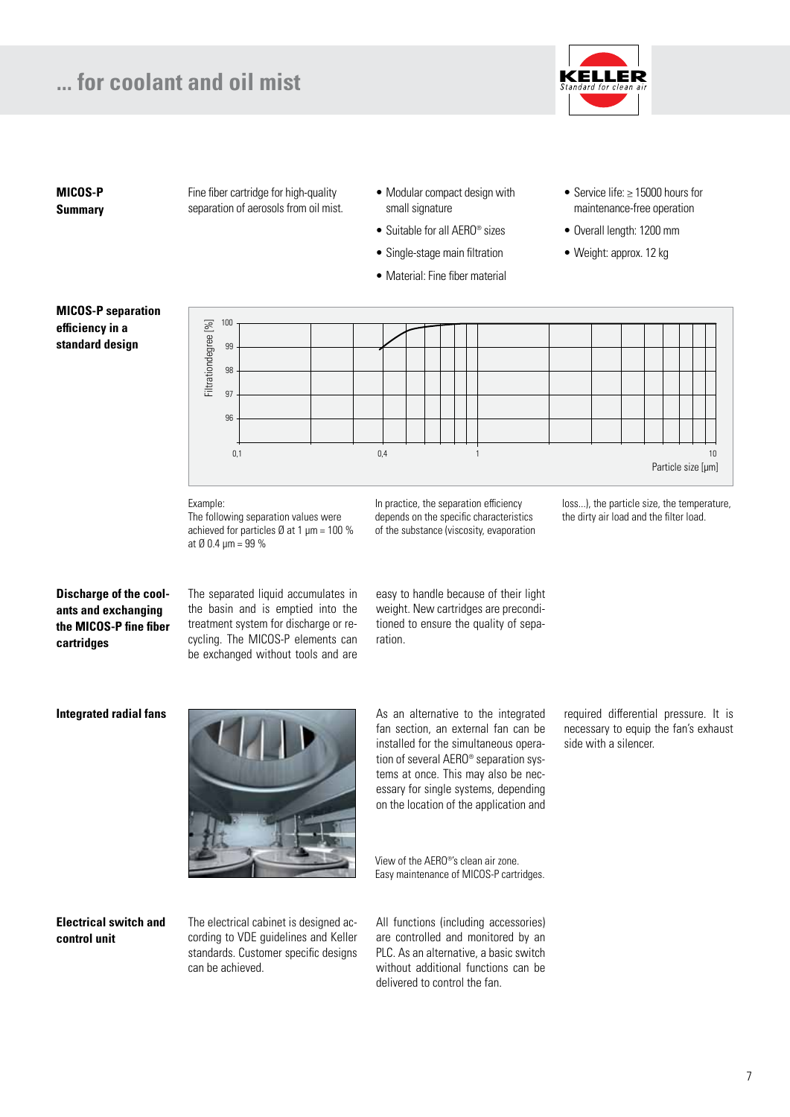## **... for coolant and oil mist**



**MICOS-P Summary** Fine fiber cartridge for high-quality separation of aerosols from oil mist.

- Modular compact design with small signature
- Suitable for all AERO® sizes
- Single-stage main filtration
- Material: Fine fiber material
- Service life: ≥ 15000 hours for maintenance-free operation
- Overall length: 1200 mm
- Weight: approx. 12 kg

## **MICOS-P separation efficiency in a standard design**



#### Example:

The following separation values were achieved for particles  $\varnothing$  at 1 µm = 100 % at  $\emptyset$  0.4  $\mu$ m = 99 %

In practice, the separation efficiency depends on the specific characteristics of the substance (viscosity, evaporation loss...), the particle size, the temperature, the dirty air load and the filter load.

**Discharge of the coolants and exchanging the MICOS-P fine fiber cartridges**

The separated liquid accumulates in the basin and is emptied into the treatment system for discharge or recycling. The MICOS-P elements can be exchanged without tools and are easy to handle because of their light weight. New cartridges are preconditioned to ensure the quality of separation.

**Integrated radial fans**



As an alternative to the integrated fan section, an external fan can be installed for the simultaneous operation of several AERO® separation systems at once. This may also be necessary for single systems, depending on the location of the application and

View of the AERO®'s clean air zone. Easy maintenance of MICOS-P cartridges.

**Electrical switch and control unit**

The electrical cabinet is designed according to VDE guidelines and Keller standards. Customer specific designs can be achieved.

All functions (including accessories) are controlled and monitored by an PLC. As an alternative, a basic switch without additional functions can be delivered to control the fan.

required differential pressure. It is necessary to equip the fan's exhaust side with a silencer.